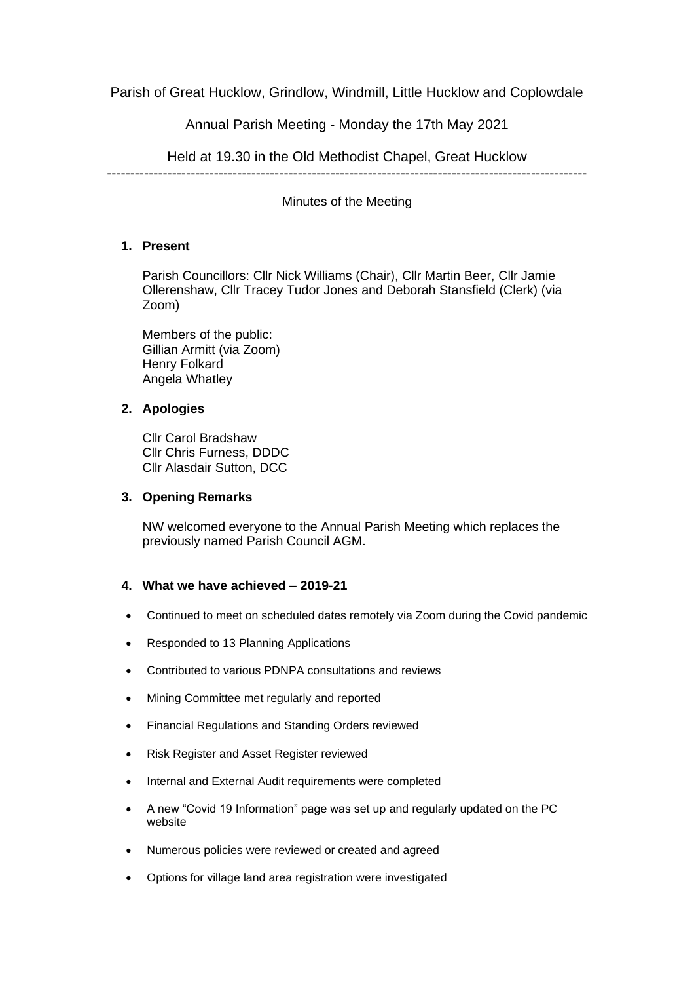Parish of Great Hucklow, Grindlow, Windmill, Little Hucklow and Coplowdale

Annual Parish Meeting - Monday the 17th May 2021

Held at 19.30 in the Old Methodist Chapel, Great Hucklow

-------------------------------------------------------------------------------------------------------

Minutes of the Meeting

# **1. Present**

Parish Councillors: Cllr Nick Williams (Chair), Cllr Martin Beer, Cllr Jamie Ollerenshaw, Cllr Tracey Tudor Jones and Deborah Stansfield (Clerk) (via Zoom)

Members of the public: Gillian Armitt (via Zoom) Henry Folkard Angela Whatley

# **2. Apologies**

Cllr Carol Bradshaw Cllr Chris Furness, DDDC Cllr Alasdair Sutton, DCC

### **3. Opening Remarks**

NW welcomed everyone to the Annual Parish Meeting which replaces the previously named Parish Council AGM.

## **4. What we have achieved – 2019-21**

- Continued to meet on scheduled dates remotely via Zoom during the Covid pandemic
- Responded to 13 Planning Applications
- Contributed to various PDNPA consultations and reviews
- Mining Committee met regularly and reported
- Financial Regulations and Standing Orders reviewed
- Risk Register and Asset Register reviewed
- Internal and External Audit requirements were completed
- A new "Covid 19 Information" page was set up and regularly updated on the PC website
- Numerous policies were reviewed or created and agreed
- Options for village land area registration were investigated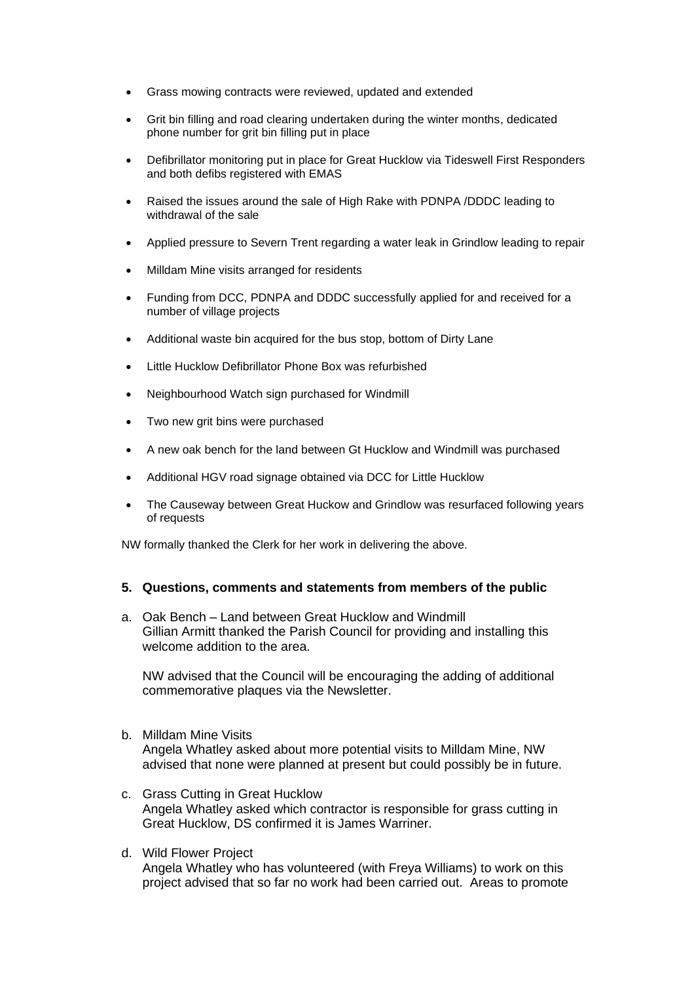- Grass mowing contracts were reviewed, updated and extended
- Grit bin filling and road clearing undertaken during the winter months, dedicated phone number for grit bin filling put in place
- Defibrillator monitoring put in place for Great Hucklow via Tideswell First Responders and both defibs registered with EMAS
- Raised the issues around the sale of High Rake with PDNPA /DDDC leading to withdrawal of the sale
- Applied pressure to Severn Trent regarding a water leak in Grindlow leading to repair
- Milldam Mine visits arranged for residents
- Funding from DCC, PDNPA and DDDC successfully applied for and received for a number of village projects
- Additional waste bin acquired for the bus stop, bottom of Dirty Lane
- Little Hucklow Defibrillator Phone Box was refurbished
- Neighbourhood Watch sign purchased for Windmill
- Two new grit bins were purchased
- A new oak bench for the land between Gt Hucklow and Windmill was purchased
- Additional HGV road signage obtained via DCC for Little Hucklow
- The Causeway between Great Huckow and Grindlow was resurfaced following years of requests

NW formally thanked the Clerk for her work in delivering the above.

#### **5. Questions, comments and statements from members of the public**

a. Oak Bench – Land between Great Hucklow and Windmill Gillian Armitt thanked the Parish Council for providing and installing this welcome addition to the area.

NW advised that the Council will be encouraging the adding of additional commemorative plaques via the Newsletter.

- b. Milldam Mine Visits Angela Whatley asked about more potential visits to Milldam Mine, NW advised that none were planned at present but could possibly be in future.
- c. Grass Cutting in Great Hucklow Angela Whatley asked which contractor is responsible for grass cutting in Great Hucklow, DS confirmed it is James Warriner.
- d. Wild Flower Project

Angela Whatley who has volunteered (with Freya Williams) to work on this project advised that so far no work had been carried out. Areas to promote